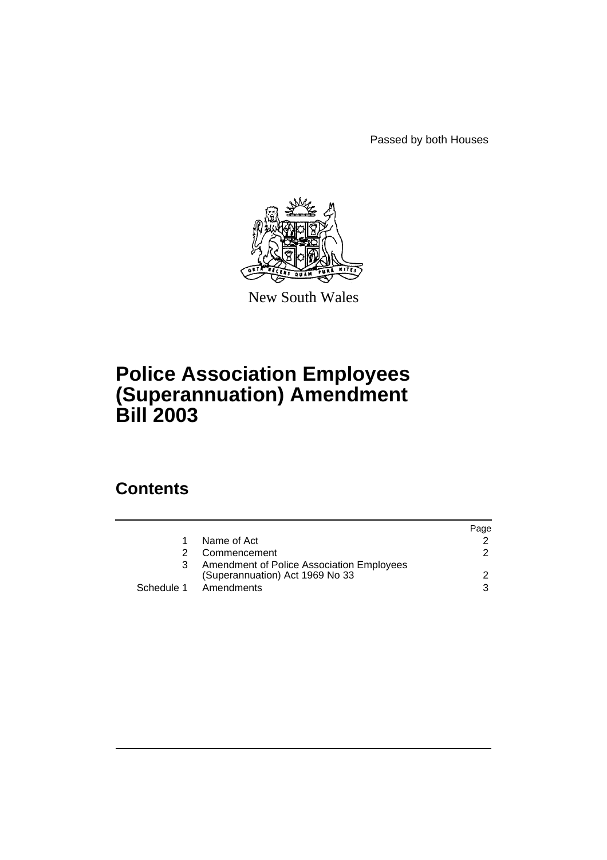Passed by both Houses



New South Wales

# **Police Association Employees (Superannuation) Amendment Bill 2003**

# **Contents**

|   |                                                                              | Page          |
|---|------------------------------------------------------------------------------|---------------|
| 1 | Name of Act                                                                  |               |
| 2 | Commencement                                                                 | $\mathcal{P}$ |
| 3 | Amendment of Police Association Employees<br>(Superannuation) Act 1969 No 33 | 2             |
|   | Schedule 1 Amendments                                                        | 3             |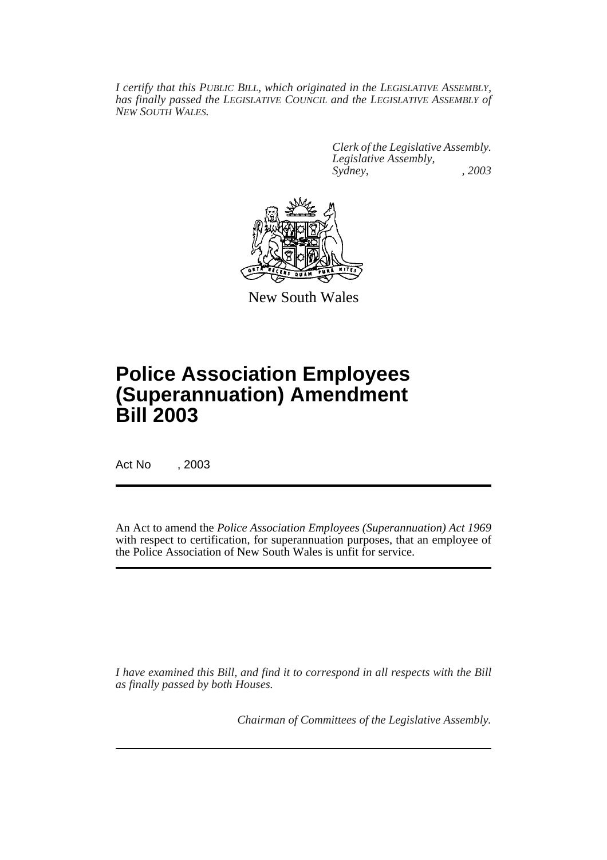*I certify that this PUBLIC BILL, which originated in the LEGISLATIVE ASSEMBLY, has finally passed the LEGISLATIVE COUNCIL and the LEGISLATIVE ASSEMBLY of NEW SOUTH WALES.*

> *Clerk of the Legislative Assembly. Legislative Assembly, Sydney, , 2003*



New South Wales

# **Police Association Employees (Superannuation) Amendment Bill 2003**

Act No , 2003

An Act to amend the *Police Association Employees (Superannuation) Act 1969* with respect to certification, for superannuation purposes, that an employee of the Police Association of New South Wales is unfit for service.

*I have examined this Bill, and find it to correspond in all respects with the Bill as finally passed by both Houses.*

*Chairman of Committees of the Legislative Assembly.*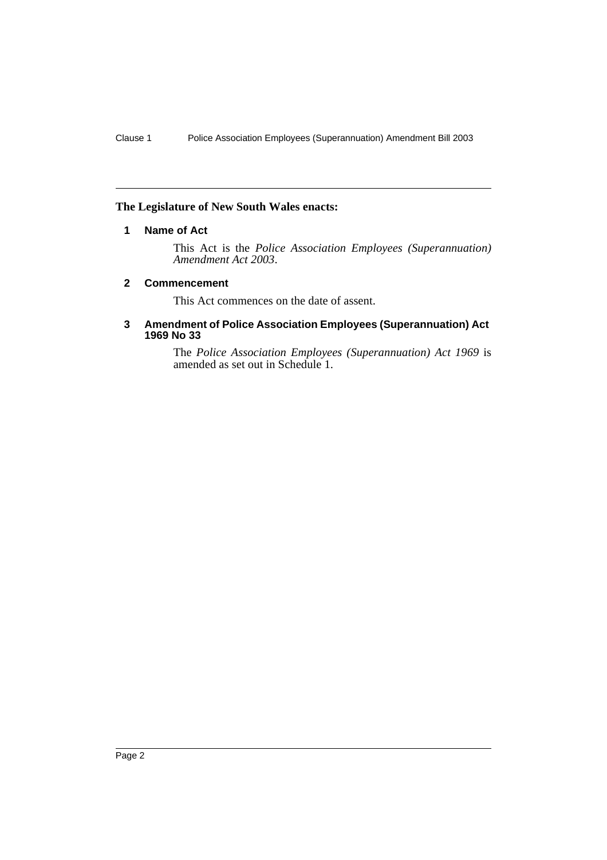### **The Legislature of New South Wales enacts:**

### **1 Name of Act**

This Act is the *Police Association Employees (Superannuation) Amendment Act 2003*.

#### **2 Commencement**

This Act commences on the date of assent.

#### **3 Amendment of Police Association Employees (Superannuation) Act 1969 No 33**

The *Police Association Employees (Superannuation) Act 1969* is amended as set out in Schedule 1.